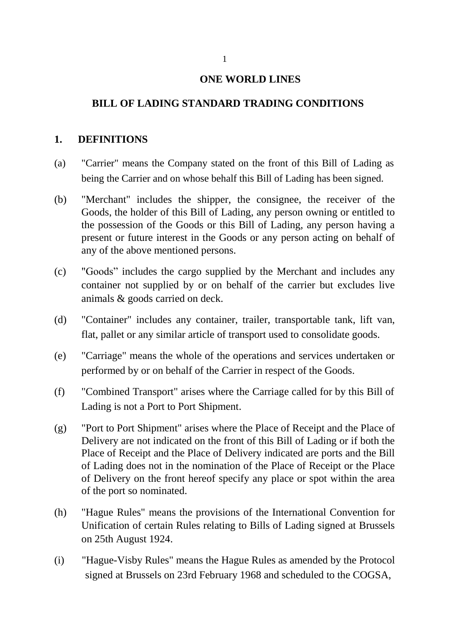#### **ONE WORLD LINES**

### **BILL OF LADING STANDARD TRADING CONDITIONS**

#### **1. DEFINITIONS**

- (a) "Carrier" means the Company stated on the front of this Bill of Lading as being the Carrier and on whose behalf this Bill of Lading has been signed.
- (b) "Merchant" includes the shipper, the consignee, the receiver of the Goods, the holder of this Bill of Lading, any person owning or entitled to the possession of the Goods or this Bill of Lading, any person having a present or future interest in the Goods or any person acting on behalf of any of the above mentioned persons.
- (c) "Goods" includes the cargo supplied by the Merchant and includes any container not supplied by or on behalf of the carrier but excludes live animals & goods carried on deck.
- (d) "Container" includes any container, trailer, transportable tank, lift van, flat, pallet or any similar article of transport used to consolidate goods.
- (e) "Carriage" means the whole of the operations and services undertaken or performed by or on behalf of the Carrier in respect of the Goods.
- (f) "Combined Transport" arises where the Carriage called for by this Bill of Lading is not a Port to Port Shipment.
- (g) "Port to Port Shipment" arises where the Place of Receipt and the Place of Delivery are not indicated on the front of this Bill of Lading or if both the Place of Receipt and the Place of Delivery indicated are ports and the Bill of Lading does not in the nomination of the Place of Receipt or the Place of Delivery on the front hereof specify any place or spot within the area of the port so nominated.
- (h) "Hague Rules" means the provisions of the International Convention for Unification of certain Rules relating to Bills of Lading signed at Brussels on 25th August 1924.
- (i) "Hague-Visby Rules" means the Hague Rules as amended by the Protocol signed at Brussels on 23rd February 1968 and scheduled to the COGSA,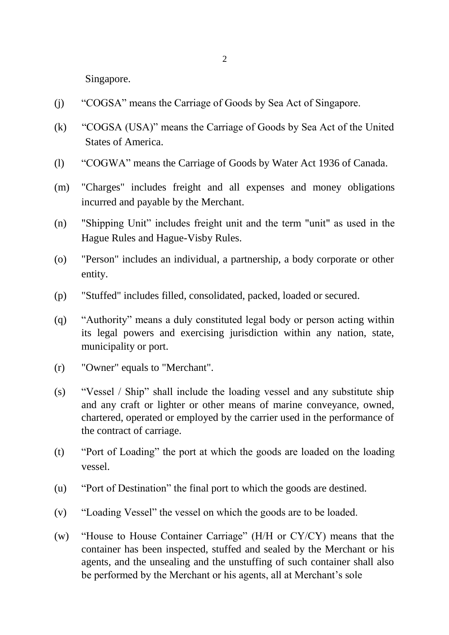Singapore.

- (j) "COGSA" means the Carriage of Goods by Sea Act of Singapore.
- (k) "COGSA (USA)" means the Carriage of Goods by Sea Act of the United States of America.
- (l) "COGWA" means the Carriage of Goods by Water Act 1936 of Canada.
- (m) "Charges" includes freight and all expenses and money obligations incurred and payable by the Merchant.
- (n) "Shipping Unit" includes freight unit and the term "unit" as used in the Hague Rules and Hague-Visby Rules.
- (o) "Person" includes an individual, a partnership, a body corporate or other entity.
- (p) "Stuffed" includes filled, consolidated, packed, loaded or secured.
- (q) "Authority" means a duly constituted legal body or person acting within its legal powers and exercising jurisdiction within any nation, state, municipality or port.
- (r) "Owner" equals to "Merchant".
- (s) "Vessel / Ship" shall include the loading vessel and any substitute ship and any craft or lighter or other means of marine conveyance, owned, chartered, operated or employed by the carrier used in the performance of the contract of carriage.
- (t) "Port of Loading" the port at which the goods are loaded on the loading vessel.
- (u) "Port of Destination" the final port to which the goods are destined.
- (v) "Loading Vessel" the vessel on which the goods are to be loaded.
- (w) "House to House Container Carriage" (H/H or CY/CY) means that the container has been inspected, stuffed and sealed by the Merchant or his agents, and the unsealing and the unstuffing of such container shall also be performed by the Merchant or his agents, all at Merchant's sole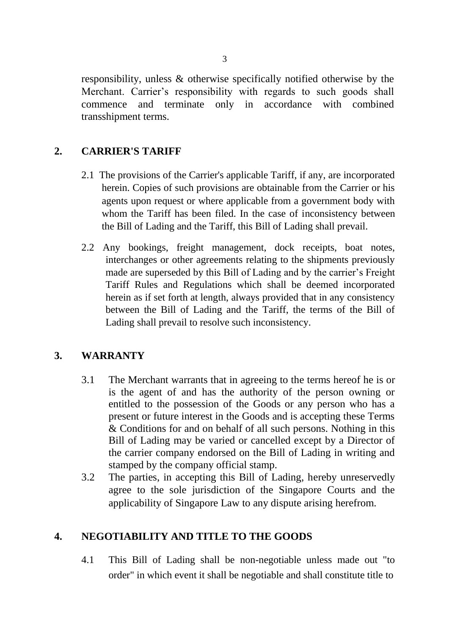responsibility, unless & otherwise specifically notified otherwise by the Merchant. Carrier's responsibility with regards to such goods shall commence and terminate only in accordance with combined transshipment terms.

### **2. CARRIER'S TARIFF**

- 2.1 The provisions of the Carrier's applicable Tariff, if any, are incorporated herein. Copies of such provisions are obtainable from the Carrier or his agents upon request or where applicable from a government body with whom the Tariff has been filed. In the case of inconsistency between the Bill of Lading and the Tariff, this Bill of Lading shall prevail.
- 2.2 Any bookings, freight management, dock receipts, boat notes, interchanges or other agreements relating to the shipments previously made are superseded by this Bill of Lading and by the carrier's Freight Tariff Rules and Regulations which shall be deemed incorporated herein as if set forth at length, always provided that in any consistency between the Bill of Lading and the Tariff, the terms of the Bill of Lading shall prevail to resolve such inconsistency.

### **3. WARRANTY**

- 3.1 The Merchant warrants that in agreeing to the terms hereof he is or is the agent of and has the authority of the person owning or entitled to the possession of the Goods or any person who has a present or future interest in the Goods and is accepting these Terms & Conditions for and on behalf of all such persons. Nothing in this Bill of Lading may be varied or cancelled except by a Director of the carrier company endorsed on the Bill of Lading in writing and stamped by the company official stamp.
- 3.2 The parties, in accepting this Bill of Lading, hereby unreservedly agree to the sole jurisdiction of the Singapore Courts and the applicability of Singapore Law to any dispute arising herefrom.

### **4. NEGOTIABILITY AND TITLE TO THE GOODS**

4.1 This Bill of Lading shall be non-negotiable unless made out "to order" in which event it shall be negotiable and shall constitute title to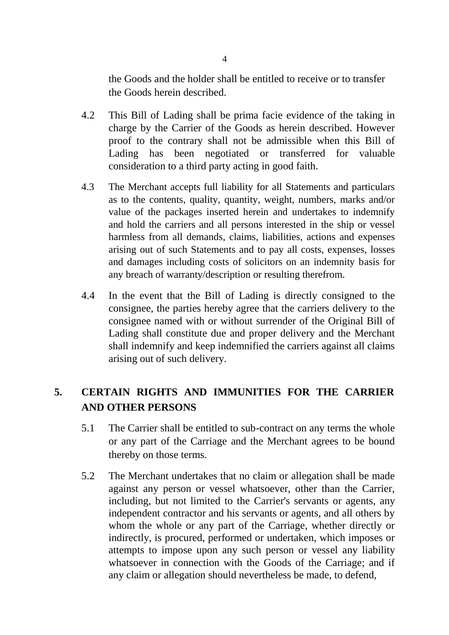the Goods and the holder shall be entitled to receive or to transfer the Goods herein described.

- 4.2 This Bill of Lading shall be prima facie evidence of the taking in charge by the Carrier of the Goods as herein described. However proof to the contrary shall not be admissible when this Bill of Lading has been negotiated or transferred for valuable consideration to a third party acting in good faith.
- 4.3 The Merchant accepts full liability for all Statements and particulars as to the contents, quality, quantity, weight, numbers, marks and/or value of the packages inserted herein and undertakes to indemnify and hold the carriers and all persons interested in the ship or vessel harmless from all demands, claims, liabilities, actions and expenses arising out of such Statements and to pay all costs, expenses, losses and damages including costs of solicitors on an indemnity basis for any breach of warranty/description or resulting therefrom.
- 4.4 In the event that the Bill of Lading is directly consigned to the consignee, the parties hereby agree that the carriers delivery to the consignee named with or without surrender of the Original Bill of Lading shall constitute due and proper delivery and the Merchant shall indemnify and keep indemnified the carriers against all claims arising out of such delivery.

# **5. CERTAIN RIGHTS AND IMMUNITIES FOR THE CARRIER AND OTHER PERSONS**

- 5.1 The Carrier shall be entitled to sub-contract on any terms the whole or any part of the Carriage and the Merchant agrees to be bound thereby on those terms.
- 5.2 The Merchant undertakes that no claim or allegation shall be made against any person or vessel whatsoever, other than the Carrier, including, but not limited to the Carrier's servants or agents, any independent contractor and his servants or agents, and all others by whom the whole or any part of the Carriage, whether directly or indirectly, is procured, performed or undertaken, which imposes or attempts to impose upon any such person or vessel any liability whatsoever in connection with the Goods of the Carriage; and if any claim or allegation should nevertheless be made, to defend,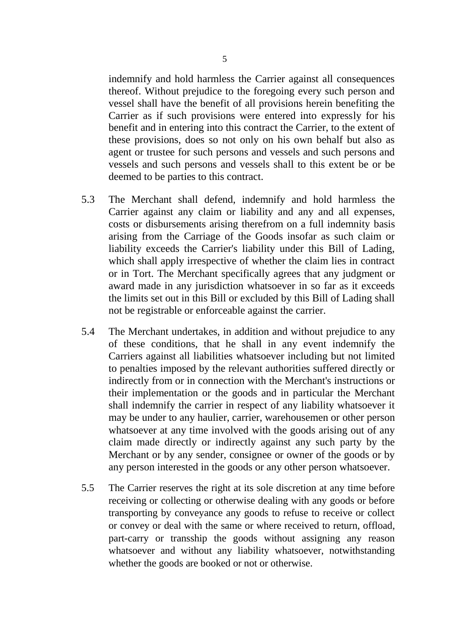indemnify and hold harmless the Carrier against all consequences thereof. Without prejudice to the foregoing every such person and vessel shall have the benefit of all provisions herein benefiting the Carrier as if such provisions were entered into expressly for his benefit and in entering into this contract the Carrier, to the extent of these provisions, does so not only on his own behalf but also as agent or trustee for such persons and vessels and such persons and vessels and such persons and vessels shall to this extent be or be deemed to be parties to this contract.

- 5.3 The Merchant shall defend, indemnify and hold harmless the Carrier against any claim or liability and any and all expenses, costs or disbursements arising therefrom on a full indemnity basis arising from the Carriage of the Goods insofar as such claim or liability exceeds the Carrier's liability under this Bill of Lading, which shall apply irrespective of whether the claim lies in contract or in Tort. The Merchant specifically agrees that any judgment or award made in any jurisdiction whatsoever in so far as it exceeds the limits set out in this Bill or excluded by this Bill of Lading shall not be registrable or enforceable against the carrier.
- 5.4 The Merchant undertakes, in addition and without prejudice to any of these conditions, that he shall in any event indemnify the Carriers against all liabilities whatsoever including but not limited to penalties imposed by the relevant authorities suffered directly or indirectly from or in connection with the Merchant's instructions or their implementation or the goods and in particular the Merchant shall indemnify the carrier in respect of any liability whatsoever it may be under to any haulier, carrier, warehousemen or other person whatsoever at any time involved with the goods arising out of any claim made directly or indirectly against any such party by the Merchant or by any sender, consignee or owner of the goods or by any person interested in the goods or any other person whatsoever.
- 5.5 The Carrier reserves the right at its sole discretion at any time before receiving or collecting or otherwise dealing with any goods or before transporting by conveyance any goods to refuse to receive or collect or convey or deal with the same or where received to return, offload, part-carry or transship the goods without assigning any reason whatsoever and without any liability whatsoever, notwithstanding whether the goods are booked or not or otherwise.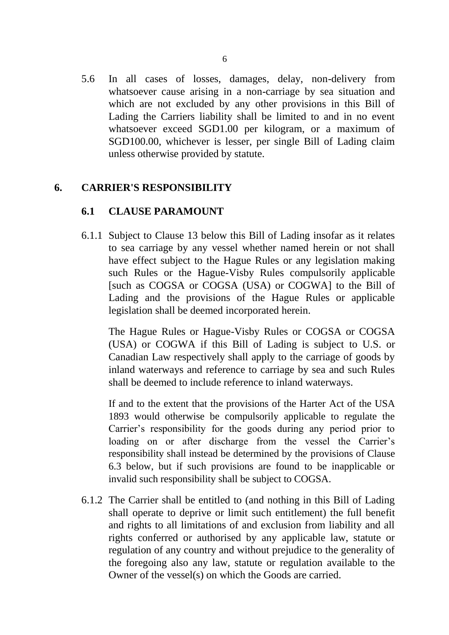5.6 In all cases of losses, damages, delay, non-delivery from whatsoever cause arising in a non-carriage by sea situation and which are not excluded by any other provisions in this Bill of Lading the Carriers liability shall be limited to and in no event whatsoever exceed SGD1.00 per kilogram, or a maximum of SGD100.00, whichever is lesser, per single Bill of Lading claim unless otherwise provided by statute.

### **6. CARRIER'S RESPONSIBILITY**

### **6.1 CLAUSE PARAMOUNT**

6.1.1 Subject to Clause 13 below this Bill of Lading insofar as it relates to sea carriage by any vessel whether named herein or not shall have effect subject to the Hague Rules or any legislation making such Rules or the Hague-Visby Rules compulsorily applicable [such as COGSA or COGSA (USA) or COGWA] to the Bill of Lading and the provisions of the Hague Rules or applicable legislation shall be deemed incorporated herein.

The Hague Rules or Hague-Visby Rules or COGSA or COGSA (USA) or COGWA if this Bill of Lading is subject to U.S. or Canadian Law respectively shall apply to the carriage of goods by inland waterways and reference to carriage by sea and such Rules shall be deemed to include reference to inland waterways.

If and to the extent that the provisions of the Harter Act of the USA 1893 would otherwise be compulsorily applicable to regulate the Carrier's responsibility for the goods during any period prior to loading on or after discharge from the vessel the Carrier's responsibility shall instead be determined by the provisions of Clause 6.3 below, but if such provisions are found to be inapplicable or invalid such responsibility shall be subject to COGSA.

6.1.2 The Carrier shall be entitled to (and nothing in this Bill of Lading shall operate to deprive or limit such entitlement) the full benefit and rights to all limitations of and exclusion from liability and all rights conferred or authorised by any applicable law, statute or regulation of any country and without prejudice to the generality of the foregoing also any law, statute or regulation available to the Owner of the vessel(s) on which the Goods are carried.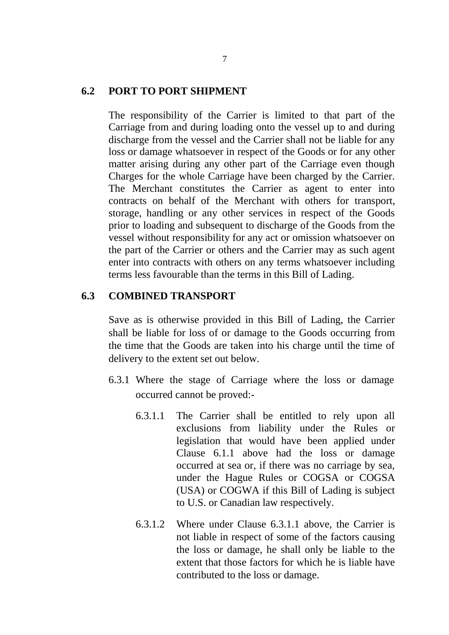#### **6.2 PORT TO PORT SHIPMENT**

The responsibility of the Carrier is limited to that part of the Carriage from and during loading onto the vessel up to and during discharge from the vessel and the Carrier shall not be liable for any loss or damage whatsoever in respect of the Goods or for any other matter arising during any other part of the Carriage even though Charges for the whole Carriage have been charged by the Carrier. The Merchant constitutes the Carrier as agent to enter into contracts on behalf of the Merchant with others for transport, storage, handling or any other services in respect of the Goods prior to loading and subsequent to discharge of the Goods from the vessel without responsibility for any act or omission whatsoever on the part of the Carrier or others and the Carrier may as such agent enter into contracts with others on any terms whatsoever including terms less favourable than the terms in this Bill of Lading.

### **6.3 COMBINED TRANSPORT**

Save as is otherwise provided in this Bill of Lading, the Carrier shall be liable for loss of or damage to the Goods occurring from the time that the Goods are taken into his charge until the time of delivery to the extent set out below.

- 6.3.1 Where the stage of Carriage where the loss or damage occurred cannot be proved:-
	- 6.3.1.1 The Carrier shall be entitled to rely upon all exclusions from liability under the Rules or legislation that would have been applied under Clause 6.1.1 above had the loss or damage occurred at sea or, if there was no carriage by sea, under the Hague Rules or COGSA or COGSA (USA) or COGWA if this Bill of Lading is subject to U.S. or Canadian law respectively.
	- 6.3.1.2 Where under Clause 6.3.1.1 above, the Carrier is not liable in respect of some of the factors causing the loss or damage, he shall only be liable to the extent that those factors for which he is liable have contributed to the loss or damage.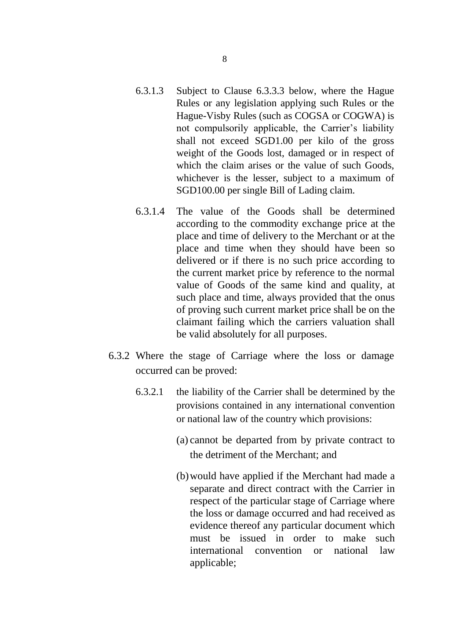- 6.3.1.3 Subject to Clause 6.3.3.3 below, where the Hague Rules or any legislation applying such Rules or the Hague-Visby Rules (such as COGSA or COGWA) is not compulsorily applicable, the Carrier's liability shall not exceed SGD1.00 per kilo of the gross weight of the Goods lost, damaged or in respect of which the claim arises or the value of such Goods, whichever is the lesser, subject to a maximum of SGD100.00 per single Bill of Lading claim.
- 6.3.1.4 The value of the Goods shall be determined according to the commodity exchange price at the place and time of delivery to the Merchant or at the place and time when they should have been so delivered or if there is no such price according to the current market price by reference to the normal value of Goods of the same kind and quality, at such place and time, always provided that the onus of proving such current market price shall be on the claimant failing which the carriers valuation shall be valid absolutely for all purposes.
- 6.3.2 Where the stage of Carriage where the loss or damage occurred can be proved:
	- 6.3.2.1 the liability of the Carrier shall be determined by the provisions contained in any international convention or national law of the country which provisions:
		- (a) cannot be departed from by private contract to the detriment of the Merchant; and
		- (b)would have applied if the Merchant had made a separate and direct contract with the Carrier in respect of the particular stage of Carriage where the loss or damage occurred and had received as evidence thereof any particular document which must be issued in order to make such international convention or national law applicable;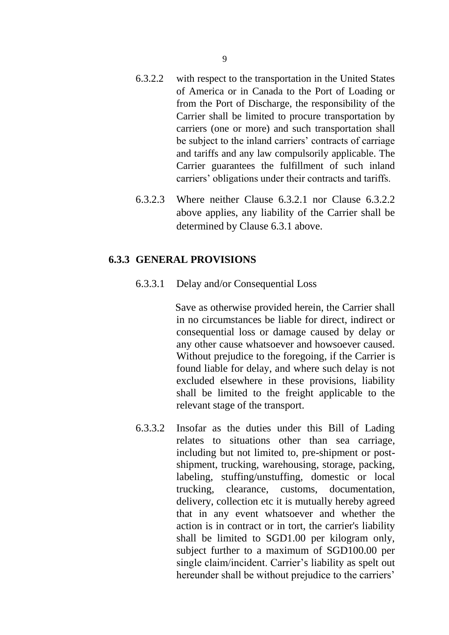- 6.3.2.2 with respect to the transportation in the United States of America or in Canada to the Port of Loading or from the Port of Discharge, the responsibility of the Carrier shall be limited to procure transportation by carriers (one or more) and such transportation shall be subject to the inland carriers' contracts of carriage and tariffs and any law compulsorily applicable. The Carrier guarantees the fulfillment of such inland carriers' obligations under their contracts and tariffs.
- 6.3.2.3 Where neither Clause 6.3.2.1 nor Clause 6.3.2.2 above applies, any liability of the Carrier shall be determined by Clause 6.3.1 above.

### **6.3.3 GENERAL PROVISIONS**

6.3.3.1 Delay and/or Consequential Loss

Save as otherwise provided herein, the Carrier shall in no circumstances be liable for direct, indirect or consequential loss or damage caused by delay or any other cause whatsoever and howsoever caused. Without prejudice to the foregoing, if the Carrier is found liable for delay, and where such delay is not excluded elsewhere in these provisions, liability shall be limited to the freight applicable to the relevant stage of the transport.

6.3.3.2 Insofar as the duties under this Bill of Lading relates to situations other than sea carriage, including but not limited to, pre-shipment or postshipment, trucking, warehousing, storage, packing, labeling, stuffing/unstuffing, domestic or local trucking, clearance, customs, documentation, delivery, collection etc it is mutually hereby agreed that in any event whatsoever and whether the action is in contract or in tort, the carrier's liability shall be limited to SGD1.00 per kilogram only, subject further to a maximum of SGD100.00 per single claim/incident. Carrier's liability as spelt out hereunder shall be without prejudice to the carriers'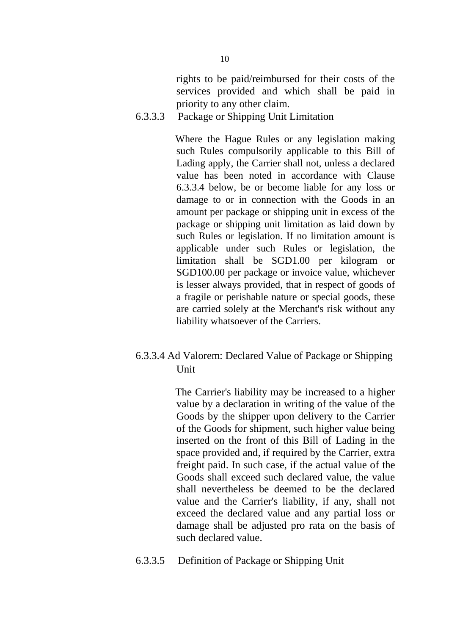rights to be paid/reimbursed for their costs of the services provided and which shall be paid in priority to any other claim.

6.3.3.3 Package or Shipping Unit Limitation

Where the Hague Rules or any legislation making such Rules compulsorily applicable to this Bill of Lading apply, the Carrier shall not, unless a declared value has been noted in accordance with Clause 6.3.3.4 below, be or become liable for any loss or damage to or in connection with the Goods in an amount per package or shipping unit in excess of the package or shipping unit limitation as laid down by such Rules or legislation. If no limitation amount is applicable under such Rules or legislation, the limitation shall be SGD1.00 per kilogram or SGD100.00 per package or invoice value, whichever is lesser always provided, that in respect of goods of a fragile or perishable nature or special goods, these are carried solely at the Merchant's risk without any liability whatsoever of the Carriers.

6.3.3.4 Ad Valorem: Declared Value of Package or Shipping **Unit** 

> The Carrier's liability may be increased to a higher value by a declaration in writing of the value of the Goods by the shipper upon delivery to the Carrier of the Goods for shipment, such higher value being inserted on the front of this Bill of Lading in the space provided and, if required by the Carrier, extra freight paid. In such case, if the actual value of the Goods shall exceed such declared value, the value shall nevertheless be deemed to be the declared value and the Carrier's liability, if any, shall not exceed the declared value and any partial loss or damage shall be adjusted pro rata on the basis of such declared value.

6.3.3.5 Definition of Package or Shipping Unit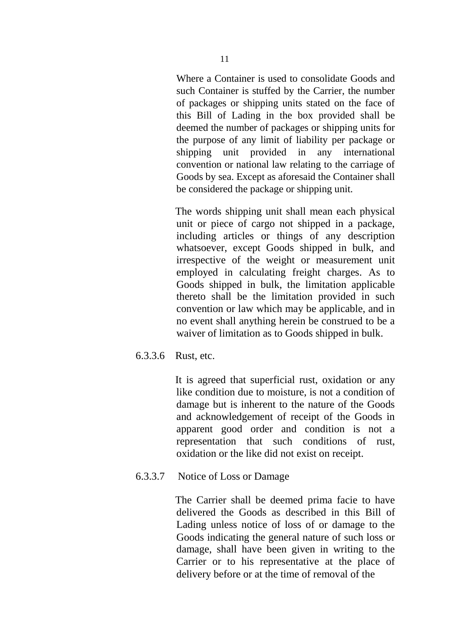Where a Container is used to consolidate Goods and such Container is stuffed by the Carrier, the number of packages or shipping units stated on the face of this Bill of Lading in the box provided shall be deemed the number of packages or shipping units for the purpose of any limit of liability per package or shipping unit provided in any international convention or national law relating to the carriage of Goods by sea. Except as aforesaid the Container shall be considered the package or shipping unit.

The words shipping unit shall mean each physical unit or piece of cargo not shipped in a package, including articles or things of any description whatsoever, except Goods shipped in bulk, and irrespective of the weight or measurement unit employed in calculating freight charges. As to Goods shipped in bulk, the limitation applicable thereto shall be the limitation provided in such convention or law which may be applicable, and in no event shall anything herein be construed to be a waiver of limitation as to Goods shipped in bulk.

6.3.3.6 Rust, etc.

It is agreed that superficial rust, oxidation or any like condition due to moisture, is not a condition of damage but is inherent to the nature of the Goods and acknowledgement of receipt of the Goods in apparent good order and condition is not a representation that such conditions of rust, oxidation or the like did not exist on receipt.

6.3.3.7 Notice of Loss or Damage

The Carrier shall be deemed prima facie to have delivered the Goods as described in this Bill of Lading unless notice of loss of or damage to the Goods indicating the general nature of such loss or damage, shall have been given in writing to the Carrier or to his representative at the place of delivery before or at the time of removal of the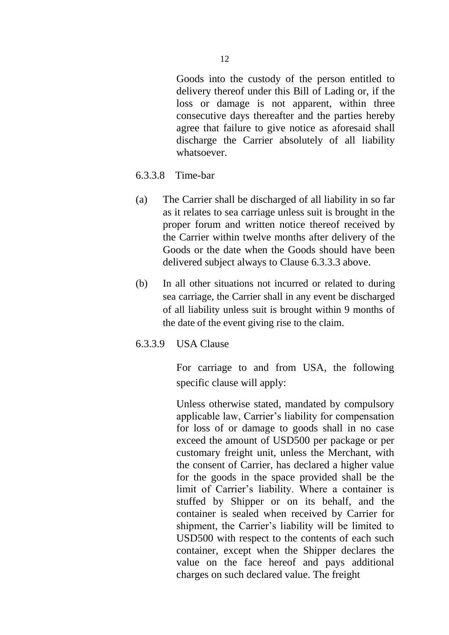Goods into the custody of the person entitled to delivery thereof under this Bill of Lading or, if the loss or damage is not apparent, within three consecutive days thereafter and the parties hereby agree that failure to give notice as aforesaid shall discharge the Carrier absolutely of all liability whatsoever.

- 6.3.3.8 Time-bar
- (a) The Carrier shall be discharged of all liability in so far as it relates to sea carriage unless suit is brought in the proper forum and written notice thereof received by the Carrier within twelve months after delivery of the Goods or the date when the Goods should have been delivered subject always to Clause 6.3.3.3 above.
- (b) In all other situations not incurred or related to during sea carriage, the Carrier shall in any event be discharged of all liability unless suit is brought within 9 months of the date of the event giving rise to the claim.
- 6.3.3.9 USA Clause

For carriage to and from USA, the following specific clause will apply:

Unless otherwise stated, mandated by compulsory applicable law, Carrier's liability for compensation for loss of or damage to goods shall in no case exceed the amount of USD500 per package or per customary freight unit, unless the Merchant, with the consent of Carrier, has declared a higher value for the goods in the space provided shall be the limit of Carrier's liability. Where a container is stuffed by Shipper or on its behalf, and the container is sealed when received by Carrier for shipment, the Carrier's liability will be limited to USD500 with respect to the contents of each such container, except when the Shipper declares the value on the face hereof and pays additional charges on such declared value. The freight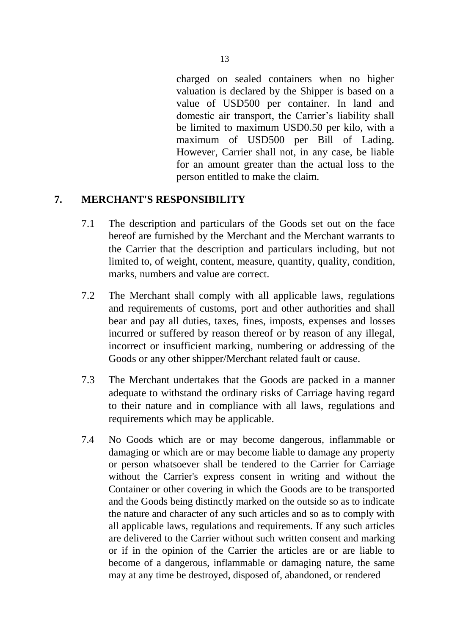charged on sealed containers when no higher valuation is declared by the Shipper is based on a value of USD500 per container. In land and domestic air transport, the Carrier's liability shall be limited to maximum USD0.50 per kilo, with a maximum of USD500 per Bill of Lading. However, Carrier shall not, in any case, be liable for an amount greater than the actual loss to the person entitled to make the claim.

#### **7. MERCHANT'S RESPONSIBILITY**

- 7.1 The description and particulars of the Goods set out on the face hereof are furnished by the Merchant and the Merchant warrants to the Carrier that the description and particulars including, but not limited to, of weight, content, measure, quantity, quality, condition, marks, numbers and value are correct.
- 7.2 The Merchant shall comply with all applicable laws, regulations and requirements of customs, port and other authorities and shall bear and pay all duties, taxes, fines, imposts, expenses and losses incurred or suffered by reason thereof or by reason of any illegal, incorrect or insufficient marking, numbering or addressing of the Goods or any other shipper/Merchant related fault or cause.
- 7.3 The Merchant undertakes that the Goods are packed in a manner adequate to withstand the ordinary risks of Carriage having regard to their nature and in compliance with all laws, regulations and requirements which may be applicable.
- 7.4 No Goods which are or may become dangerous, inflammable or damaging or which are or may become liable to damage any property or person whatsoever shall be tendered to the Carrier for Carriage without the Carrier's express consent in writing and without the Container or other covering in which the Goods are to be transported and the Goods being distinctly marked on the outside so as to indicate the nature and character of any such articles and so as to comply with all applicable laws, regulations and requirements. If any such articles are delivered to the Carrier without such written consent and marking or if in the opinion of the Carrier the articles are or are liable to become of a dangerous, inflammable or damaging nature, the same may at any time be destroyed, disposed of, abandoned, or rendered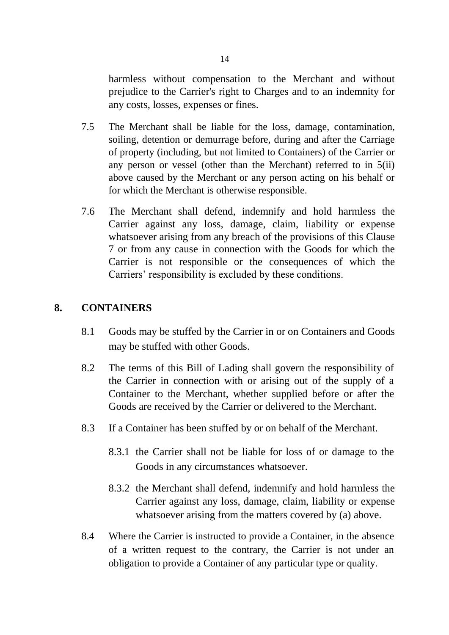harmless without compensation to the Merchant and without prejudice to the Carrier's right to Charges and to an indemnity for any costs, losses, expenses or fines.

- 7.5 The Merchant shall be liable for the loss, damage, contamination, soiling, detention or demurrage before, during and after the Carriage of property (including, but not limited to Containers) of the Carrier or any person or vessel (other than the Merchant) referred to in 5(ii) above caused by the Merchant or any person acting on his behalf or for which the Merchant is otherwise responsible.
- 7.6 The Merchant shall defend, indemnify and hold harmless the Carrier against any loss, damage, claim, liability or expense whatsoever arising from any breach of the provisions of this Clause 7 or from any cause in connection with the Goods for which the Carrier is not responsible or the consequences of which the Carriers' responsibility is excluded by these conditions.

### **8. CONTAINERS**

- 8.1 Goods may be stuffed by the Carrier in or on Containers and Goods may be stuffed with other Goods.
- 8.2 The terms of this Bill of Lading shall govern the responsibility of the Carrier in connection with or arising out of the supply of a Container to the Merchant, whether supplied before or after the Goods are received by the Carrier or delivered to the Merchant.
- 8.3 If a Container has been stuffed by or on behalf of the Merchant.
	- 8.3.1 the Carrier shall not be liable for loss of or damage to the Goods in any circumstances whatsoever.
	- 8.3.2 the Merchant shall defend, indemnify and hold harmless the Carrier against any loss, damage, claim, liability or expense whatsoever arising from the matters covered by (a) above.
- 8.4 Where the Carrier is instructed to provide a Container, in the absence of a written request to the contrary, the Carrier is not under an obligation to provide a Container of any particular type or quality.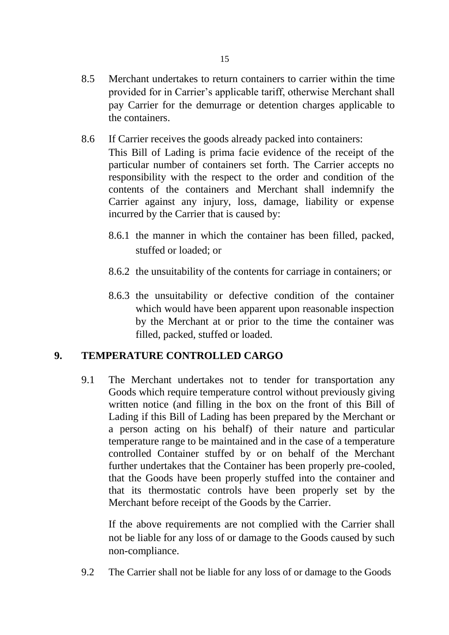- 8.5 Merchant undertakes to return containers to carrier within the time provided for in Carrier's applicable tariff, otherwise Merchant shall pay Carrier for the demurrage or detention charges applicable to the containers.
- 8.6 If Carrier receives the goods already packed into containers:

This Bill of Lading is prima facie evidence of the receipt of the particular number of containers set forth. The Carrier accepts no responsibility with the respect to the order and condition of the contents of the containers and Merchant shall indemnify the Carrier against any injury, loss, damage, liability or expense incurred by the Carrier that is caused by:

- 8.6.1 the manner in which the container has been filled, packed, stuffed or loaded; or
- 8.6.2 the unsuitability of the contents for carriage in containers; or
- 8.6.3 the unsuitability or defective condition of the container which would have been apparent upon reasonable inspection by the Merchant at or prior to the time the container was filled, packed, stuffed or loaded.

### **9. TEMPERATURE CONTROLLED CARGO**

9.1 The Merchant undertakes not to tender for transportation any Goods which require temperature control without previously giving written notice (and filling in the box on the front of this Bill of Lading if this Bill of Lading has been prepared by the Merchant or a person acting on his behalf) of their nature and particular temperature range to be maintained and in the case of a temperature controlled Container stuffed by or on behalf of the Merchant further undertakes that the Container has been properly pre-cooled, that the Goods have been properly stuffed into the container and that its thermostatic controls have been properly set by the Merchant before receipt of the Goods by the Carrier.

If the above requirements are not complied with the Carrier shall not be liable for any loss of or damage to the Goods caused by such non-compliance.

9.2 The Carrier shall not be liable for any loss of or damage to the Goods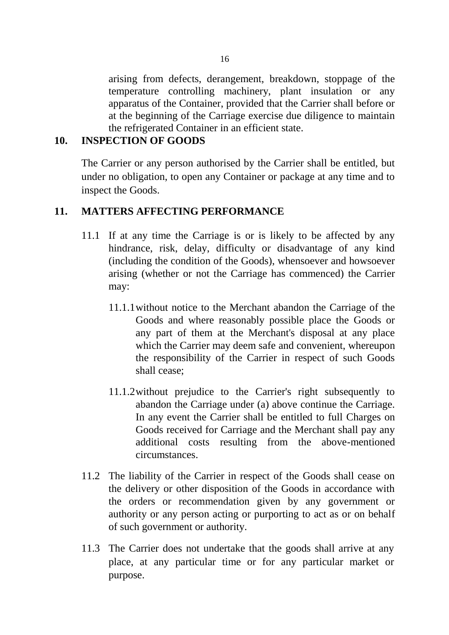arising from defects, derangement, breakdown, stoppage of the temperature controlling machinery, plant insulation or any apparatus of the Container, provided that the Carrier shall before or at the beginning of the Carriage exercise due diligence to maintain the refrigerated Container in an efficient state.

### **10. INSPECTION OF GOODS**

The Carrier or any person authorised by the Carrier shall be entitled, but under no obligation, to open any Container or package at any time and to inspect the Goods.

#### **11. MATTERS AFFECTING PERFORMANCE**

- 11.1 If at any time the Carriage is or is likely to be affected by any hindrance, risk, delay, difficulty or disadvantage of any kind (including the condition of the Goods), whensoever and howsoever arising (whether or not the Carriage has commenced) the Carrier may:
	- 11.1.1without notice to the Merchant abandon the Carriage of the Goods and where reasonably possible place the Goods or any part of them at the Merchant's disposal at any place which the Carrier may deem safe and convenient, whereupon the responsibility of the Carrier in respect of such Goods shall cease;
	- 11.1.2without prejudice to the Carrier's right subsequently to abandon the Carriage under (a) above continue the Carriage. In any event the Carrier shall be entitled to full Charges on Goods received for Carriage and the Merchant shall pay any additional costs resulting from the above-mentioned circumstances.
- 11.2 The liability of the Carrier in respect of the Goods shall cease on the delivery or other disposition of the Goods in accordance with the orders or recommendation given by any government or authority or any person acting or purporting to act as or on behalf of such government or authority.
- 11.3 The Carrier does not undertake that the goods shall arrive at any place, at any particular time or for any particular market or purpose.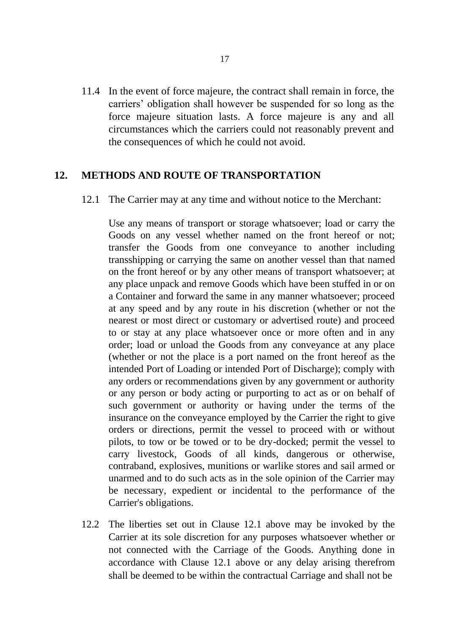11.4 In the event of force majeure, the contract shall remain in force, the carriers' obligation shall however be suspended for so long as the force majeure situation lasts. A force majeure is any and all circumstances which the carriers could not reasonably prevent and the consequences of which he could not avoid.

#### **12. METHODS AND ROUTE OF TRANSPORTATION**

12.1 The Carrier may at any time and without notice to the Merchant:

Use any means of transport or storage whatsoever; load or carry the Goods on any vessel whether named on the front hereof or not; transfer the Goods from one conveyance to another including transshipping or carrying the same on another vessel than that named on the front hereof or by any other means of transport whatsoever; at any place unpack and remove Goods which have been stuffed in or on a Container and forward the same in any manner whatsoever; proceed at any speed and by any route in his discretion (whether or not the nearest or most direct or customary or advertised route) and proceed to or stay at any place whatsoever once or more often and in any order; load or unload the Goods from any conveyance at any place (whether or not the place is a port named on the front hereof as the intended Port of Loading or intended Port of Discharge); comply with any orders or recommendations given by any government or authority or any person or body acting or purporting to act as or on behalf of such government or authority or having under the terms of the insurance on the conveyance employed by the Carrier the right to give orders or directions, permit the vessel to proceed with or without pilots, to tow or be towed or to be dry-docked; permit the vessel to carry livestock, Goods of all kinds, dangerous or otherwise, contraband, explosives, munitions or warlike stores and sail armed or unarmed and to do such acts as in the sole opinion of the Carrier may be necessary, expedient or incidental to the performance of the Carrier's obligations.

12.2 The liberties set out in Clause 12.1 above may be invoked by the Carrier at its sole discretion for any purposes whatsoever whether or not connected with the Carriage of the Goods. Anything done in accordance with Clause 12.1 above or any delay arising therefrom shall be deemed to be within the contractual Carriage and shall not be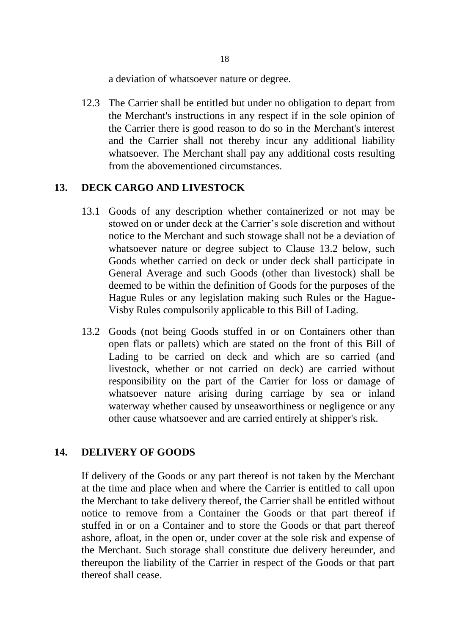a deviation of whatsoever nature or degree.

12.3 The Carrier shall be entitled but under no obligation to depart from the Merchant's instructions in any respect if in the sole opinion of the Carrier there is good reason to do so in the Merchant's interest and the Carrier shall not thereby incur any additional liability whatsoever. The Merchant shall pay any additional costs resulting from the abovementioned circumstances.

### **13. DECK CARGO AND LIVESTOCK**

- 13.1 Goods of any description whether containerized or not may be stowed on or under deck at the Carrier's sole discretion and without notice to the Merchant and such stowage shall not be a deviation of whatsoever nature or degree subject to Clause 13.2 below, such Goods whether carried on deck or under deck shall participate in General Average and such Goods (other than livestock) shall be deemed to be within the definition of Goods for the purposes of the Hague Rules or any legislation making such Rules or the Hague-Visby Rules compulsorily applicable to this Bill of Lading.
- 13.2 Goods (not being Goods stuffed in or on Containers other than open flats or pallets) which are stated on the front of this Bill of Lading to be carried on deck and which are so carried (and livestock, whether or not carried on deck) are carried without responsibility on the part of the Carrier for loss or damage of whatsoever nature arising during carriage by sea or inland waterway whether caused by unseaworthiness or negligence or any other cause whatsoever and are carried entirely at shipper's risk.

### **14. DELIVERY OF GOODS**

If delivery of the Goods or any part thereof is not taken by the Merchant at the time and place when and where the Carrier is entitled to call upon the Merchant to take delivery thereof, the Carrier shall be entitled without notice to remove from a Container the Goods or that part thereof if stuffed in or on a Container and to store the Goods or that part thereof ashore, afloat, in the open or, under cover at the sole risk and expense of the Merchant. Such storage shall constitute due delivery hereunder, and thereupon the liability of the Carrier in respect of the Goods or that part thereof shall cease.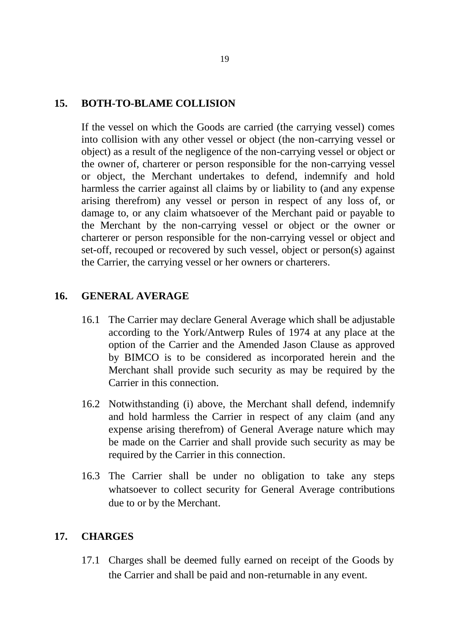#### **15. BOTH-TO-BLAME COLLISION**

If the vessel on which the Goods are carried (the carrying vessel) comes into collision with any other vessel or object (the non-carrying vessel or object) as a result of the negligence of the non-carrying vessel or object or the owner of, charterer or person responsible for the non-carrying vessel or object, the Merchant undertakes to defend, indemnify and hold harmless the carrier against all claims by or liability to (and any expense arising therefrom) any vessel or person in respect of any loss of, or damage to, or any claim whatsoever of the Merchant paid or payable to the Merchant by the non-carrying vessel or object or the owner or charterer or person responsible for the non-carrying vessel or object and set-off, recouped or recovered by such vessel, object or person(s) against the Carrier, the carrying vessel or her owners or charterers.

### **16. GENERAL AVERAGE**

- 16.1 The Carrier may declare General Average which shall be adjustable according to the York/Antwerp Rules of 1974 at any place at the option of the Carrier and the Amended Jason Clause as approved by BIMCO is to be considered as incorporated herein and the Merchant shall provide such security as may be required by the Carrier in this connection.
- 16.2 Notwithstanding (i) above, the Merchant shall defend, indemnify and hold harmless the Carrier in respect of any claim (and any expense arising therefrom) of General Average nature which may be made on the Carrier and shall provide such security as may be required by the Carrier in this connection.
- 16.3 The Carrier shall be under no obligation to take any steps whatsoever to collect security for General Average contributions due to or by the Merchant.

#### **17. CHARGES**

17.1 Charges shall be deemed fully earned on receipt of the Goods by the Carrier and shall be paid and non-returnable in any event.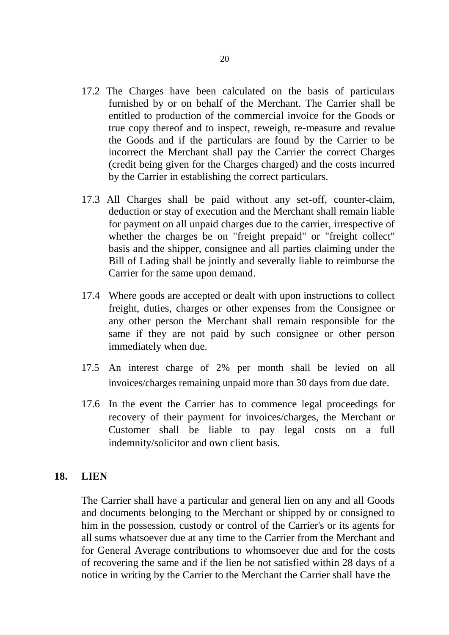- 17.2 The Charges have been calculated on the basis of particulars furnished by or on behalf of the Merchant. The Carrier shall be entitled to production of the commercial invoice for the Goods or true copy thereof and to inspect, reweigh, re-measure and revalue the Goods and if the particulars are found by the Carrier to be incorrect the Merchant shall pay the Carrier the correct Charges (credit being given for the Charges charged) and the costs incurred by the Carrier in establishing the correct particulars.
- 17.3 All Charges shall be paid without any set-off, counter-claim, deduction or stay of execution and the Merchant shall remain liable for payment on all unpaid charges due to the carrier, irrespective of whether the charges be on "freight prepaid" or "freight collect" basis and the shipper, consignee and all parties claiming under the Bill of Lading shall be jointly and severally liable to reimburse the Carrier for the same upon demand.
- 17.4 Where goods are accepted or dealt with upon instructions to collect freight, duties, charges or other expenses from the Consignee or any other person the Merchant shall remain responsible for the same if they are not paid by such consignee or other person immediately when due.
- 17.5 An interest charge of 2% per month shall be levied on all invoices/charges remaining unpaid more than 30 days from due date.
- 17.6 In the event the Carrier has to commence legal proceedings for recovery of their payment for invoices/charges, the Merchant or Customer shall be liable to pay legal costs on a full indemnity/solicitor and own client basis.

#### **18. LIEN**

The Carrier shall have a particular and general lien on any and all Goods and documents belonging to the Merchant or shipped by or consigned to him in the possession, custody or control of the Carrier's or its agents for all sums whatsoever due at any time to the Carrier from the Merchant and for General Average contributions to whomsoever due and for the costs of recovering the same and if the lien be not satisfied within 28 days of a notice in writing by the Carrier to the Merchant the Carrier shall have the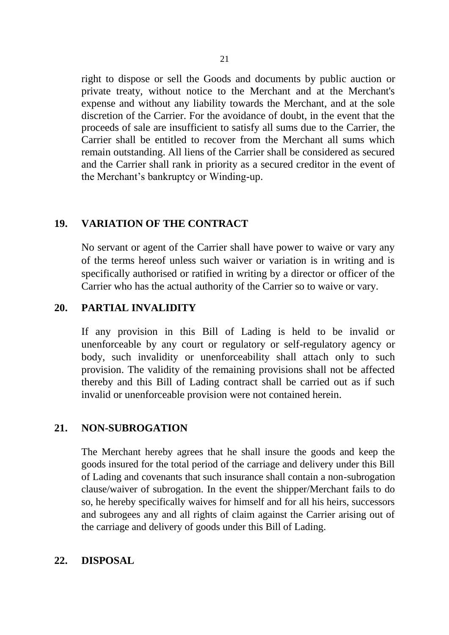right to dispose or sell the Goods and documents by public auction or private treaty, without notice to the Merchant and at the Merchant's expense and without any liability towards the Merchant, and at the sole discretion of the Carrier. For the avoidance of doubt, in the event that the proceeds of sale are insufficient to satisfy all sums due to the Carrier, the Carrier shall be entitled to recover from the Merchant all sums which remain outstanding. All liens of the Carrier shall be considered as secured and the Carrier shall rank in priority as a secured creditor in the event of the Merchant's bankruptcy or Winding-up.

### **19. VARIATION OF THE CONTRACT**

No servant or agent of the Carrier shall have power to waive or vary any of the terms hereof unless such waiver or variation is in writing and is specifically authorised or ratified in writing by a director or officer of the Carrier who has the actual authority of the Carrier so to waive or vary.

### **20. PARTIAL INVALIDITY**

If any provision in this Bill of Lading is held to be invalid or unenforceable by any court or regulatory or self-regulatory agency or body, such invalidity or unenforceability shall attach only to such provision. The validity of the remaining provisions shall not be affected thereby and this Bill of Lading contract shall be carried out as if such invalid or unenforceable provision were not contained herein.

### **21. NON-SUBROGATION**

The Merchant hereby agrees that he shall insure the goods and keep the goods insured for the total period of the carriage and delivery under this Bill of Lading and covenants that such insurance shall contain a non-subrogation clause/waiver of subrogation. In the event the shipper/Merchant fails to do so, he hereby specifically waives for himself and for all his heirs, successors and subrogees any and all rights of claim against the Carrier arising out of the carriage and delivery of goods under this Bill of Lading.

### **22. DISPOSAL**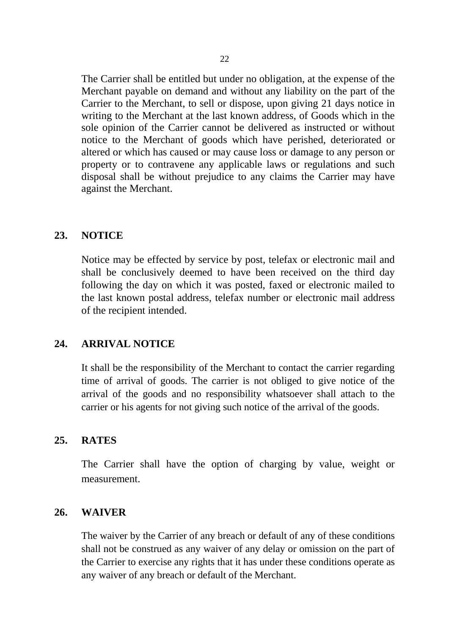The Carrier shall be entitled but under no obligation, at the expense of the Merchant payable on demand and without any liability on the part of the Carrier to the Merchant, to sell or dispose, upon giving 21 days notice in writing to the Merchant at the last known address, of Goods which in the sole opinion of the Carrier cannot be delivered as instructed or without notice to the Merchant of goods which have perished, deteriorated or altered or which has caused or may cause loss or damage to any person or property or to contravene any applicable laws or regulations and such disposal shall be without prejudice to any claims the Carrier may have against the Merchant.

### **23. NOTICE**

Notice may be effected by service by post, telefax or electronic mail and shall be conclusively deemed to have been received on the third day following the day on which it was posted, faxed or electronic mailed to the last known postal address, telefax number or electronic mail address of the recipient intended.

#### **24. ARRIVAL NOTICE**

It shall be the responsibility of the Merchant to contact the carrier regarding time of arrival of goods. The carrier is not obliged to give notice of the arrival of the goods and no responsibility whatsoever shall attach to the carrier or his agents for not giving such notice of the arrival of the goods.

#### **25. RATES**

The Carrier shall have the option of charging by value, weight or measurement.

#### **26. WAIVER**

The waiver by the Carrier of any breach or default of any of these conditions shall not be construed as any waiver of any delay or omission on the part of the Carrier to exercise any rights that it has under these conditions operate as any waiver of any breach or default of the Merchant.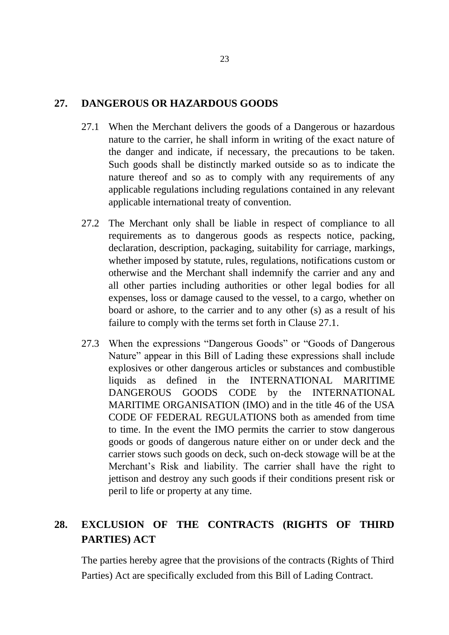### **27. DANGEROUS OR HAZARDOUS GOODS**

- 27.1 When the Merchant delivers the goods of a Dangerous or hazardous nature to the carrier, he shall inform in writing of the exact nature of the danger and indicate, if necessary, the precautions to be taken. Such goods shall be distinctly marked outside so as to indicate the nature thereof and so as to comply with any requirements of any applicable regulations including regulations contained in any relevant applicable international treaty of convention.
- 27.2 The Merchant only shall be liable in respect of compliance to all requirements as to dangerous goods as respects notice, packing, declaration, description, packaging, suitability for carriage, markings, whether imposed by statute, rules, regulations, notifications custom or otherwise and the Merchant shall indemnify the carrier and any and all other parties including authorities or other legal bodies for all expenses, loss or damage caused to the vessel, to a cargo, whether on board or ashore, to the carrier and to any other (s) as a result of his failure to comply with the terms set forth in Clause 27.1.
- 27.3 When the expressions "Dangerous Goods" or "Goods of Dangerous Nature" appear in this Bill of Lading these expressions shall include explosives or other dangerous articles or substances and combustible liquids as defined in the INTERNATIONAL MARITIME DANGEROUS GOODS CODE by the INTERNATIONAL MARITIME ORGANISATION (IMO) and in the title 46 of the USA CODE OF FEDERAL REGULATIONS both as amended from time to time. In the event the IMO permits the carrier to stow dangerous goods or goods of dangerous nature either on or under deck and the carrier stows such goods on deck, such on-deck stowage will be at the Merchant's Risk and liability. The carrier shall have the right to jettison and destroy any such goods if their conditions present risk or peril to life or property at any time.

## **28. EXCLUSION OF THE CONTRACTS (RIGHTS OF THIRD PARTIES) ACT**

The parties hereby agree that the provisions of the contracts (Rights of Third Parties) Act are specifically excluded from this Bill of Lading Contract.